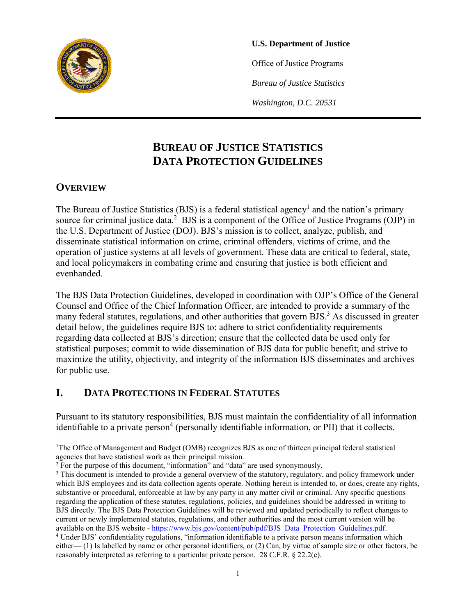

#### **U.S. Department of Justice**

Office of Justice Programs

*Bureau of Justice Statistics*

*Washington, D.C. 20531*

# **BUREAU OF JUSTICE STATISTICS DATA PROTECTION GUIDELINES**

#### **OVERVIEW**

The Bureau of Justice Statistics (BJS) is a federal statistical agency<sup>1</sup> and the nation's primary source for criminal justice data.<sup>2</sup> BJS is a component of the Office of Justice Programs (OJP) in the U.S. Department of Justice (DOJ). BJS's mission is to collect, analyze, publish, and disseminate statistical information on crime, criminal offenders, victims of crime, and the operation of justice systems at all levels of government. These data are critical to federal, state, and local policymakers in combating crime and ensuring that justice is both efficient and evenhanded.

The BJS Data Protection Guidelines, developed in coordination with OJP's Office of the General Counsel and Office of the Chief Information Officer, are intended to provide a summary of the many federal statutes, regulations, and other authorities that govern BJS.<sup>3</sup> As discussed in greater detail below, the guidelines require BJS to: adhere to strict confidentiality requirements regarding data collected at BJS's direction; ensure that the collected data be used only for statistical purposes; commit to wide dissemination of BJS data for public benefit; and strive to maximize the utility, objectivity, and integrity of the information BJS disseminates and archives for public use.

## **I. DATA PROTECTIONS IN FEDERAL STATUTES**

Pursuant to its statutory responsibilities, BJS must maintain the confidentiality of all information identifiable to a private person<sup>4</sup> (personally identifiable information, or PII) that it collects.

<sup>&</sup>lt;sup>1</sup>The Office of Management and Budget (OMB) recognizes BJS as one of thirteen principal federal statistical agencies that have statistical work as their principal mission.

<sup>&</sup>lt;sup>2</sup> For the purpose of this document, "information" and "data" are used synonymously.

<sup>&</sup>lt;sup>3</sup> This document is intended to provide a general overview of the statutory, regulatory, and policy framework under which BJS employees and its data collection agents operate. Nothing herein is intended to, or does, create any rights, substantive or procedural, enforceable at law by any party in any matter civil or criminal. Any specific questions regarding the application of these statutes, regulations, policies, and guidelines should be addressed in writing to BJS directly. The BJS Data Protection Guidelines will be reviewed and updated periodically to reflect changes to current or newly implemented statutes, regulations, and other authorities and the most current version will be available on the BJS website [- https://www.bjs.gov/content/pub/pdf/BJS\\_Data\\_Protection\\_Guidelines.pdf.](https://www.bjs.gov/content/pub/pdf/BJS_Data_Protection_Guidelines.pdf)

<sup>&</sup>lt;sup>4</sup> Under BJS' confidentiality regulations, "information identifiable to a private person means information which either— (1) Is labelled by name or other personal identifiers, or (2) Can, by virtue of sample size or other factors, be reasonably interpreted as referring to a particular private person. 28 C.F.R. § 22.2(e).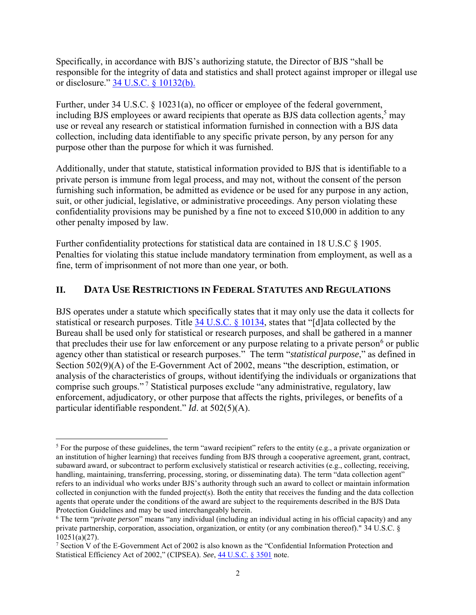Specifically, in accordance with BJS's authorizing statute, the Director of BJS "shall be responsible for the integrity of data and statistics and shall protect against improper or illegal use or disclosure." [34 U.S.C. § 10132\(b\).](https://www.law.cornell.edu/uscode/text/34/10132)

Further, under 34 U.S.C. § 10231(a), no officer or employee of the federal government, including BJS employees or award recipients that operate as BJS data collection agents,<sup>5</sup> may use or reveal any research or statistical information furnished in connection with a BJS data collection, including data identifiable to any specific private person, by any person for any purpose other than the purpose for which it was furnished.

Additionally, under that statute, statistical information provided to BJS that is identifiable to a private person is immune from legal process, and may not, without the consent of the person furnishing such information, be admitted as evidence or be used for any purpose in any action, suit, or other judicial, legislative, or administrative proceedings. Any person violating these confidentiality provisions may be punished by a fine not to exceed \$10,000 in addition to any other penalty imposed by law.

Further confidentiality protections for statistical data are contained in 18 U.S.C § 1905. Penalties for violating this statue include mandatory termination from employment, as well as a fine, term of imprisonment of not more than one year, or both.

#### **II. DATA USE RESTRICTIONS IN FEDERAL STATUTES AND REGULATIONS**

BJS operates under a statute which specifically states that it may only use the data it collects for statistical or research purposes. Title [34 U.S.C. § 10134,](https://www.law.cornell.edu/uscode/text/34/10134) states that "[d]ata collected by the Bureau shall be used only for statistical or research purposes, and shall be gathered in a manner that precludes their use for law enforcement or any purpose relating to a private person<sup>6</sup> or public agency other than statistical or research purposes." The term "*statistical purpose*," as defined in Section 502(9)(A) of the E-Government Act of 2002, means "the description, estimation, or analysis of the characteristics of groups, without identifying the individuals or organizations that comprise such groups." <sup>7</sup> Statistical purposes exclude "any administrative, regulatory, law enforcement, adjudicatory, or other purpose that affects the rights, privileges, or benefits of a particular identifiable respondent." *Id*. at 502(5)(A).

<sup>&</sup>lt;sup>5</sup> For the purpose of these guidelines, the term "award recipient" refers to the entity (e.g., a private organization or an institution of higher learning) that receives funding from BJS through a cooperative agreement, grant, contract, subaward award, or subcontract to perform exclusively statistical or research activities (e.g., collecting, receiving, handling, maintaining, transferring, processing, storing, or disseminating data). The term "data collection agent" refers to an individual who works under BJS's authority through such an award to collect or maintain information collected in conjunction with the funded project(s). Both the entity that receives the funding and the data collection agents that operate under the conditions of the award are subject to the requirements described in the BJS Data Protection Guidelines and may be used interchangeably herein.

<sup>6</sup> The term "*private person*" means "any individual (including an individual acting in his official capacity) and any private partnership, corporation, association, organization, or entity (or any combination thereof)." 34 U.S.C. § 10251(a)(27).

<sup>7</sup> Section V of the E-Government Act of 2002 is also known as the "Confidential Information Protection and Statistical Efficiency Act of 2002," (CIPSEA). *See*, [44 U.S.C. § 3501](https://www.gpo.gov/fdsys/pkg/USCODE-2015-title44/html/USCODE-2015-title44-chap35-subchapI-sec3501.htm) note.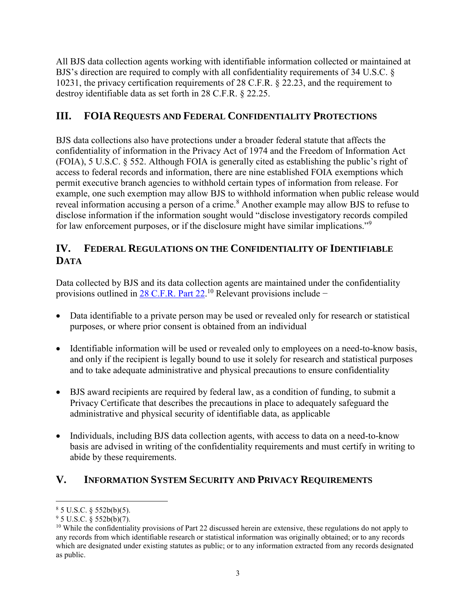All BJS data collection agents working with identifiable information collected or maintained at BJS's direction are required to comply with all confidentiality requirements of 34 U.S.C. § 10231, the privacy certification requirements of 28 C.F.R. § 22.23, and the requirement to destroy identifiable data as set forth in 28 C.F.R. § 22.25.

### **III. FOIA REQUESTS AND FEDERAL CONFIDENTIALITY PROTECTIONS**

BJS data collections also have protections under a broader federal statute that affects the confidentiality of information in the Privacy Act of 1974 and the Freedom of Information Act (FOIA), 5 U.S.C. § 552. Although FOIA is generally cited as establishing the public's right of access to federal records and information, there are nine established FOIA exemptions which permit executive branch agencies to withhold certain types of information from release. For example, one such exemption may allow BJS to withhold information when public release would reveal information accusing a person of a crime.<sup>8</sup> Another example may allow BJS to refuse to disclose information if the information sought would "disclose investigatory records compiled for law enforcement purposes, or if the disclosure might have similar implications."<sup>9</sup>

### **IV. FEDERAL REGULATIONS ON THE CONFIDENTIALITY OF IDENTIFIABLE DATA**

Data collected by BJS and its data collection agents are maintained under the confidentiality provisions outlined in [28 C.F.R.](https://www.govinfo.gov/content/pkg/CFR-2004-title28-vol1/pdf/CFR-2004-title28-vol1-part22.pdf) Part 22.<sup>10</sup> Relevant provisions include −

- Data identifiable to a private person may be used or revealed only for research or statistical purposes, or where prior consent is obtained from an individual
- Identifiable information will be used or revealed only to employees on a need-to-know basis, and only if the recipient is legally bound to use it solely for research and statistical purposes and to take adequate administrative and physical precautions to ensure confidentiality
- BJS award recipients are required by federal law, as a condition of funding, to submit a Privacy Certificate that describes the precautions in place to adequately safeguard the administrative and physical security of identifiable data, as applicable
- Individuals, including BJS data collection agents, with access to data on a need-to-know basis are advised in writing of the confidentiality requirements and must certify in writing to abide by these requirements.

# **V. INFORMATION SYSTEM SECURITY AND PRIVACY REQUIREMENTS**

 $\overline{a}$ 

 $85 \text{ U.S.C. }$  § 552b(b)(5).

 $95$  U.S.C. § 552b(b)(7).

 $10$  While the confidentiality provisions of Part 22 discussed herein are extensive, these regulations do not apply to any records from which identifiable research or statistical information was originally obtained; or to any records which are designated under existing statutes as public; or to any information extracted from any records designated as public.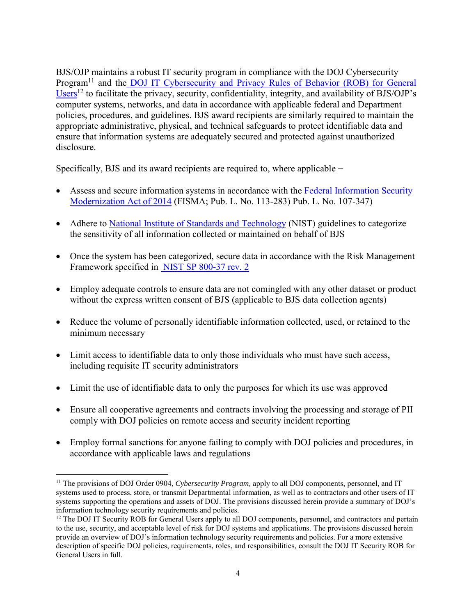BJS/OJP maintains a robust IT security program in compliance with the DOJ Cybersecurity Program<sup>11</sup> and the DOJ IT Cybersecurity and Privacy Rules of Behavior (ROB) for General [Users](https://dojnet.doj.gov/jmd/ocio/ocio-document_library/cs/7-DOJ_Rules_of_Behavior/rob-general-users.pdf)<sup>12</sup> to facilitate the privacy, security, confidentiality, integrity, and availability of BJS/OJP's computer systems, networks, and data in accordance with applicable federal and Department policies, procedures, and guidelines. BJS award recipients are similarly required to maintain the appropriate administrative, physical, and technical safeguards to protect identifiable data and ensure that information systems are adequately secured and protected against unauthorized disclosure.

Specifically, BJS and its award recipients are required to, where applicable −

- Assess and secure information systems in accordance with the [Federal Information Security](https://www.govinfo.gov/app/details/PLAW-113publ283) [Modernization Act](https://www.govinfo.gov/app/details/PLAW-113publ283) of 2014 (FISMA; Pub. L. No. 113-283) Pub. L. No. 107-347)
- Adhere to [National Institute of Standards and Technology](http://csrc.nist.gov/publications/fips/fips199/FIPS-PUB-199-final.pdf) (NIST) guidelines to categorize the sensitivity of all information collected or maintained on behalf of BJS
- Once the system has been categorized, secure data in accordance with the Risk Management Framework specified in [NIST SP 800-37 rev. 2](https://csrc.nist.gov/publications/detail/sp/800-37/rev-2/final)
- Employ adequate controls to ensure data are not comingled with any other dataset or product without the express written consent of BJS (applicable to BJS data collection agents)
- Reduce the volume of personally identifiable information collected, used, or retained to the minimum necessary
- Limit access to identifiable data to only those individuals who must have such access, including requisite IT security administrators
- Limit the use of identifiable data to only the purposes for which its use was approved
- Ensure all cooperative agreements and contracts involving the processing and storage of PII comply with DOJ policies on remote access and security incident reporting
- Employ formal sanctions for anyone failing to comply with DOJ policies and procedures, in accordance with applicable laws and regulations

<sup>&</sup>lt;sup>11</sup> The provisions of DOJ Order 0904, *Cybersecurity Program*, apply to all DOJ components, personnel, and IT systems used to process, store, or transmit Departmental information, as well as to contractors and other users of IT systems supporting the operations and assets of DOJ. The provisions discussed herein provide a summary of DOJ's information technology security requirements and policies.

<sup>&</sup>lt;sup>12</sup> The DOJ IT Security ROB for General Users apply to all DOJ components, personnel, and contractors and pertain to the use, security, and acceptable level of risk for DOJ systems and applications. The provisions discussed herein provide an overview of DOJ's information technology security requirements and policies. For a more extensive description of specific DOJ policies, requirements, roles, and responsibilities, consult the DOJ IT Security ROB for General Users in full.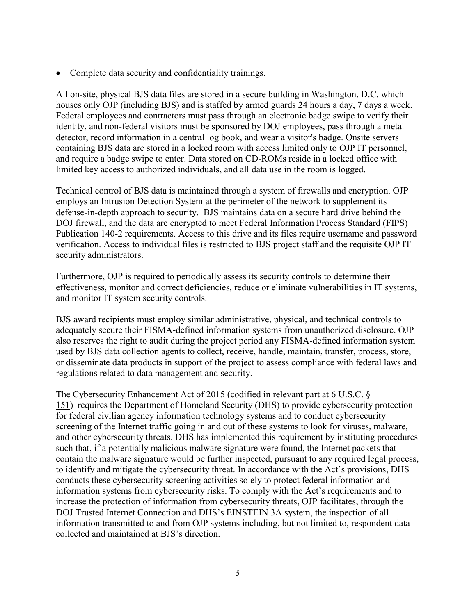• Complete data security and confidentiality trainings.

All on-site, physical BJS data files are stored in a secure building in Washington, D.C. which houses only OJP (including BJS) and is staffed by armed guards 24 hours a day, 7 days a week. Federal employees and contractors must pass through an electronic badge swipe to verify their identity, and non-federal visitors must be sponsored by DOJ employees, pass through a metal detector, record information in a central log book, and wear a visitor's badge. Onsite servers containing BJS data are stored in a locked room with access limited only to OJP IT personnel, and require a badge swipe to enter. Data stored on CD-ROMs reside in a locked office with limited key access to authorized individuals, and all data use in the room is logged.

Technical control of BJS data is maintained through a system of firewalls and encryption. OJP employs an Intrusion Detection System at the perimeter of the network to supplement its defense-in-depth approach to security. BJS maintains data on a secure hard drive behind the DOJ firewall, and the data are encrypted to meet Federal Information Process Standard (FIPS) Publication 140-2 requirements. Access to this drive and its files require username and password verification. Access to individual files is restricted to BJS project staff and the requisite OJP IT security administrators.

Furthermore, OJP is required to periodically assess its security controls to determine their effectiveness, monitor and correct deficiencies, reduce or eliminate vulnerabilities in IT systems, and monitor IT system security controls.

BJS award recipients must employ similar administrative, physical, and technical controls to adequately secure their FISMA-defined information systems from unauthorized disclosure. OJP also reserves the right to audit during the project period any FISMA-defined information system used by BJS data collection agents to collect, receive, handle, maintain, transfer, process, store, or disseminate data products in support of the project to assess compliance with federal laws and regulations related to data management and security.

The Cybersecurity Enhancement Act of 2015 (codified in relevant part at [6 U.S.C. §](https://www.gpo.gov/fdsys/pkg/USCODE-2015-title6/pdf/USCODE-2015-title6-chap1-subchapII-partC-sec151.pdf)  [151\)](https://www.gpo.gov/fdsys/pkg/USCODE-2015-title6/pdf/USCODE-2015-title6-chap1-subchapII-partC-sec151.pdf) requires the Department of Homeland Security (DHS) to provide cybersecurity protection for federal civilian agency information technology systems and to conduct cybersecurity screening of the Internet traffic going in and out of these systems to look for viruses, malware, and other cybersecurity threats. DHS has implemented this requirement by instituting procedures such that, if a potentially malicious malware signature were found, the Internet packets that contain the malware signature would be further inspected, pursuant to any required legal process, to identify and mitigate the cybersecurity threat. In accordance with the Act's provisions, DHS conducts these cybersecurity screening activities solely to protect federal information and information systems from cybersecurity risks. To comply with the Act's requirements and to increase the protection of information from cybersecurity threats, OJP facilitates, through the DOJ Trusted Internet Connection and DHS's EINSTEIN 3A system, the inspection of all information transmitted to and from OJP systems including, but not limited to, respondent data collected and maintained at BJS's direction.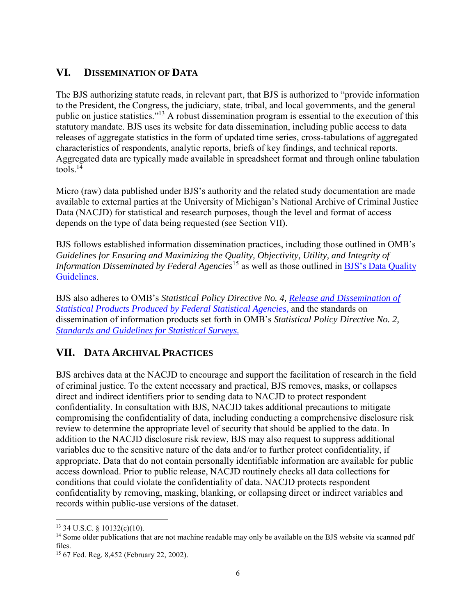### **VI. DISSEMINATION OF DATA**

The BJS authorizing statute reads, in relevant part, that BJS is authorized to "provide information to the President, the Congress, the judiciary, state, tribal, and local governments, and the general public on justice statistics."<sup>13</sup> A robust dissemination program is essential to the execution of this statutory mandate. BJS uses its website for data dissemination, including public access to data releases of aggregate statistics in the form of updated time series, cross-tabulations of aggregated characteristics of respondents, analytic reports, briefs of key findings, and technical reports. Aggregated data are typically made available in spreadsheet format and through online tabulation tools. 14

Micro (raw) data published under BJS's authority and the related study documentation are made available to external parties at the University of Michigan's National Archive of Criminal Justice Data (NACJD) for statistical and research purposes, though the level and format of access depends on the type of data being requested (see Section VII).

BJS follows established information dissemination practices, including those outlined in OMB's *[Guidelines for Ensuring and Maximizing the Quality, Objectivity, Utility, and Integrity of](https://obamawhitehouse.archives.gov/omb/fedreg_final_information_quality_guidelines/)  [Information Disseminated by Federal Agencies](https://obamawhitehouse.archives.gov/omb/fedreg_final_information_quality_guidelines/)*<sup>15</sup> as well as those outlined in BJS's Data Quality [Guidelines.](https://www.bjs.gov/content/dataquality/dataquality.cfm)

BJS also adheres to OMB's *Statistical Policy Directive No. 4, [Release and Dissemination of](https://www.gpo.gov/fdsys/pkg/FR-2008-03-07/pdf/E8-4570.pdf)  [Statistical Products Produced by Federal Statistical Agencies,](https://www.gpo.gov/fdsys/pkg/FR-2008-03-07/pdf/E8-4570.pdf)* and the standards on dissemination of information products set forth in OMB's *Statistical Policy Directive No. 2, [Standards and Guidelines for Statistical Surveys.](https://www.gpo.gov/fdsys/pkg/FR-2006-09-22/pdf/06-8044.pdf)*

### **VII. DATA ARCHIVAL PRACTICES**

BJS archives data at the NACJD to encourage and support the facilitation of research in the field of criminal justice. To the extent necessary and practical, BJS removes, masks, or collapses direct and indirect identifiers prior to sending data to NACJD to protect respondent confidentiality. In consultation with BJS, NACJD takes additional precautions to mitigate compromising the confidentiality of data, including conducting a comprehensive disclosure risk review to determine the appropriate level of security that should be applied to the data. In addition to the NACJD disclosure risk review, BJS may also request to suppress additional variables due to the sensitive nature of the data and/or to further protect confidentiality, if appropriate. Data that do not contain personally identifiable information are available for public access download. Prior to public release, NACJD routinely checks all data collections for conditions that could violate the confidentiality of data. NACJD protects respondent confidentiality by removing, masking, blanking, or collapsing direct or indirect variables and records within public-use versions of the dataset.

 $\overline{a}$ 

 $13$  34 U.S.C. § 10132(c)(10).

<sup>&</sup>lt;sup>14</sup> Some older publications that are not machine readable may only be available on the BJS website via scanned pdf files.

<sup>15</sup> 67 Fed. Reg. 8,452 (February 22, 2002).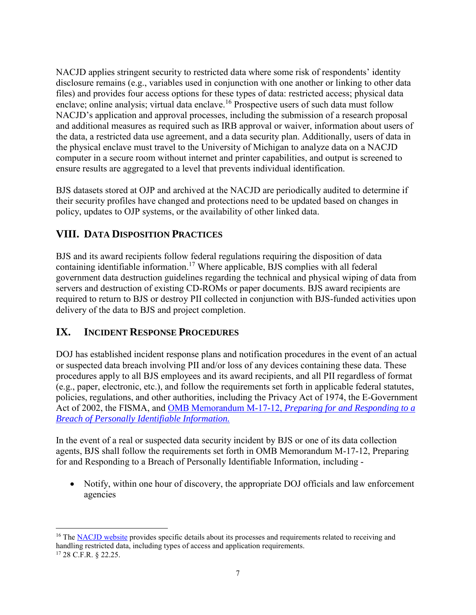NACJD applies stringent security to restricted data where some risk of respondents' identity disclosure remains (e.g., variables used in conjunction with one another or linking to other data files) and provides four access options for these types of data: restricted access; physical data enclave; online analysis; virtual data enclave.<sup>16</sup> Prospective users of such data must follow NACJD's application and approval processes, including the submission of a research proposal and additional measures as required such as IRB approval or waiver, information about users of the data, a restricted data use agreement, and a data security plan. Additionally, users of data in the physical enclave must travel to the University of Michigan to analyze data on a NACJD computer in a secure room without internet and printer capabilities, and output is screened to ensure results are aggregated to a level that prevents individual identification.

BJS datasets stored at OJP and archived at the NACJD are periodically audited to determine if their security profiles have changed and protections need to be updated based on changes in policy, updates to OJP systems, or the availability of other linked data.

## **VIII. DATA DISPOSITION PRACTICES**

BJS and its award recipients follow federal regulations requiring the disposition of data containing identifiable information.<sup>17</sup> Where applicable, BJS complies with all federal government data destruction guidelines regarding the technical and physical wiping of data from servers and destruction of existing CD-ROMs or paper documents. BJS award recipients are required to return to BJS or destroy PII collected in conjunction with BJS-funded activities upon delivery of the data to BJS and project completion.

### **IX. INCIDENT RESPONSE PROCEDURES**

 $\overline{a}$ 

DOJ has established incident response plans and notification procedures in the event of an actual or suspected data breach involving PII and/or loss of any devices containing these data. These procedures apply to all BJS employees and its award recipients, and all PII regardless of format (e.g., paper, electronic, etc.), and follow the requirements set forth in applicable federal statutes, policies, regulations, and other authorities, including the [Privacy Act of 1974,](https://www.justice.gov/opcl/privacy-act-1974) the E-Government Act of 2002, the FISMA, and OMB Memorandum M-17-12, *[Preparing for and Responding to a](https://obamawhitehouse.archives.gov/sites/default/files/omb/memoranda/2017/m-17-12_0.pdf)  [Breach of Personally Identifiable Information.](https://obamawhitehouse.archives.gov/sites/default/files/omb/memoranda/2017/m-17-12_0.pdf)* 

In the event of a real or suspected data security incident by BJS or one of its data collection agents, BJS shall follow the requirements set forth in OMB Memorandum M-17-12, Preparing for and Responding to a Breach of Personally Identifiable Information, including -

• Notify, within one hour of discovery, the appropriate DOJ officials and law enforcement agencies

<sup>&</sup>lt;sup>16</sup> The [NACJD website](https://www.icpsr.umich.edu/icpsrweb/content/NACJD/restricted.html) provides specific details about its processes and requirements related to receiving and handling restricted data, including types of access and application requirements. <sup>17</sup> 28 C.F.R. § 22.25.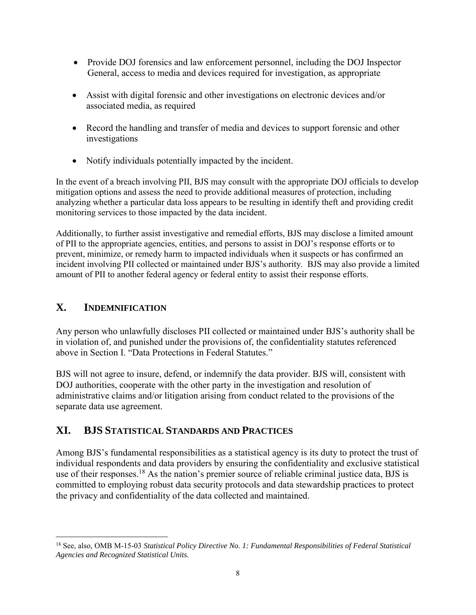- Provide DOJ forensics and law enforcement personnel, including the DOJ Inspector General, access to media and devices required for investigation, as appropriate
- Assist with digital forensic and other investigations on electronic devices and/or associated media, as required
- Record the handling and transfer of media and devices to support forensic and other investigations
- Notify individuals potentially impacted by the incident.

In the event of a breach involving PII, BJS may consult with the appropriate DOJ officials to develop mitigation options and assess the need to provide additional measures of protection, including analyzing whether a particular data loss appears to be resulting in identify theft and providing credit monitoring services to those impacted by the data incident.

Additionally, to further assist investigative and remedial efforts, BJS may disclose a limited amount of PII to the appropriate agencies, entities, and persons to assist in DOJ's response efforts or to prevent, minimize, or remedy harm to impacted individuals when it suspects or has confirmed an incident involving PII collected or maintained under BJS's authority. BJS may also provide a limited amount of PII to another federal agency or federal entity to assist their response efforts.

# **X. INDEMNIFICATION**

Any person who unlawfully discloses PII collected or maintained under BJS's authority shall be in violation of, and punished under the provisions of, the confidentiality statutes referenced above in Section I. "Data Protections in Federal Statutes."

BJS will not agree to insure, defend, or indemnify the data provider. BJS will, consistent with DOJ authorities, cooperate with the other party in the investigation and resolution of administrative claims and/or litigation arising from conduct related to the provisions of the separate data use agreement.

# **XI. BJS STATISTICAL STANDARDS AND PRACTICES**

Among BJS's fundamental responsibilities as a statistical agency is its duty to protect the trust of individual respondents and data providers by ensuring the confidentiality and exclusive statistical use of their responses.<sup>18</sup> As the nation's premier source of reliable criminal justice data, BJS is committed to employing robust data security protocols and data stewardship practices to protect the privacy and confidentiality of the data collected and maintained.

 $\overline{a}$ <sup>18</sup> See, also, OMB M-15-03 *Statistical Policy Directive No. 1: [Fundamental Responsibilities of Federal Statistical](https://www.gpo.gov/fdsys/pkg/FR-2014-12-02/pdf/2014-28326.pdf)  [Agencies and Recognized Statistical Units.](https://www.gpo.gov/fdsys/pkg/FR-2014-12-02/pdf/2014-28326.pdf)*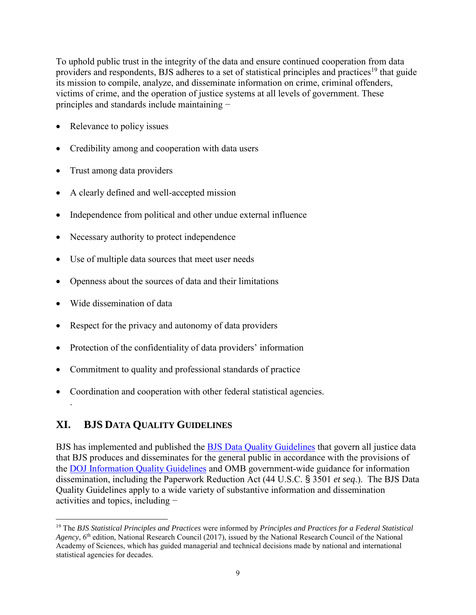To uphold public trust in the integrity of the data and ensure continued cooperation from data providers and respondents, BJS adheres to a set of statistical principles and practices<sup>19</sup> that guide its mission to compile, analyze, and disseminate information on crime, criminal offenders, victims of crime, and the operation of justice systems at all levels of government. These principles and standards include maintaining −

- Relevance to policy issues
- Credibility among and cooperation with data users
- Trust among data providers
- A clearly defined and well-accepted mission
- Independence from political and other undue external influence
- Necessary authority to protect independence
- Use of multiple data sources that meet user needs
- Openness about the sources of data and their limitations
- Wide dissemination of data

.

 $\overline{a}$ 

- Respect for the privacy and autonomy of data providers
- Protection of the confidentiality of data providers' information
- Commitment to quality and professional standards of practice
- Coordination and cooperation with other federal statistical agencies.

### **XI. BJS DATA QUALITY GUIDELINES**

BJS has implemented and published the **BJS Data Quality Guidelines** that govern all justice data that BJS produces and disseminates for the general public in accordance with the provisions of the [DOJ Information Quality Guidelines](https://www.justice.gov/iqpr/information-quality) and OMB government-wide guidance for information dissemination, including the Paperwork Reduction Act (44 U.S.C. § 3501 *et seq*.). The BJS Data Quality Guidelines apply to a wide variety of substantive information and dissemination activities and topics, including −

<sup>19</sup> The *[BJS Statistical Principles and Practices](https://www.bjs.gov/index.cfm?ty=pri)* were informed by *Principles and Practices for a Federal Statistical*  Agency, 6<sup>th</sup> edition, National Research Council (2017), issued by the National Research Council of the National Academy of Sciences, which has guided managerial and technical decisions made by national and international statistical agencies for decades.